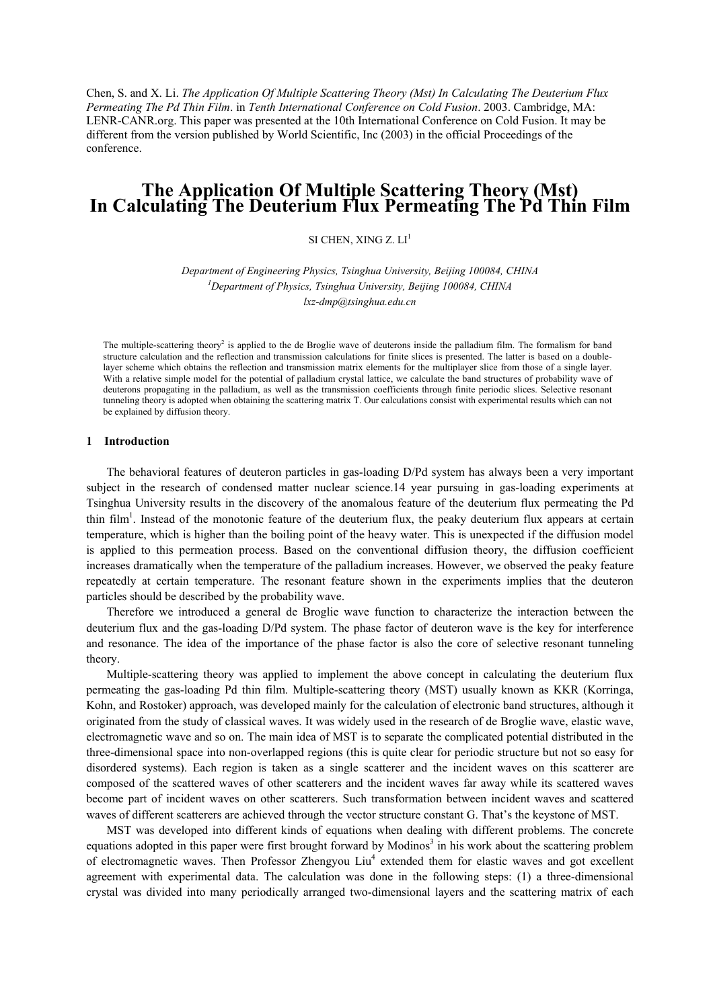Chen, S. and X. Li. *The Application Of Multiple Scattering Theory (Mst) In Calculating The Deuterium Flux Permeating The Pd Thin Film*. in *Tenth International Conference on Cold Fusion*. 2003. Cambridge, MA: LENR-CANR.org. This paper was presented at the 10th International Conference on Cold Fusion. It may be different from the version published by World Scientific, Inc (2003) in the official Proceedings of the conference.

# **The Application Of Multiple Scattering Theory (Mst) In Calculating The Deuterium Flux Permeating The Pd Thin Film**

SI CHEN, XING  $Z$ ,  $LI<sup>1</sup>$ 

*Department of Engineering Physics, Tsinghua University, Beijing 100084, CHINA 1 Department of Physics, Tsinghua University, Beijing 100084, CHINA [lxz-dmp@tsinghua.edu.cn](mailto:lxz-dmp@tsinghua.edu.cn)*

The multiple-scattering theory<sup>2</sup> is applied to the de Broglie wave of deuterons inside the palladium film. The formalism for band structure calculation and the reflection and transmission calculations for finite slices is presented. The latter is based on a doublelayer scheme which obtains the reflection and transmission matrix elements for the multiplayer slice from those of a single layer. With a relative simple model for the potential of palladium crystal lattice, we calculate the band structures of probability wave of deuterons propagating in the palladium, as well as the transmission coefficients through finite periodic slices. Selective resonant tunneling theory is adopted when obtaining the scattering matrix T. Our calculations consist with experimental results which can not be explained by diffusion theory.

## **1 Introduction**

 The behavioral features of deuteron particles in gas-loading D/Pd system has always been a very important subject in the research of condensed matter nuclear science.14 year pursuing in gas-loading experiments at Tsinghua University results in the discovery of the anomalous feature of the deuterium flux permeating the Pd thin film<sup>1</sup>. Instead of the monotonic feature of the deuterium flux, the peaky deuterium flux appears at certain temperature, which is higher than the boiling point of the heavy water. This is unexpected if the diffusion model is applied to this permeation process. Based on the conventional diffusion theory, the diffusion coefficient increases dramatically when the temperature of the palladium increases. However, we observed the peaky feature repeatedly at certain temperature. The resonant feature shown in the experiments implies that the deuteron particles should be described by the probability wave.

 Therefore we introduced a general de Broglie wave function to characterize the interaction between the deuterium flux and the gas-loading D/Pd system. The phase factor of deuteron wave is the key for interference and resonance. The idea of the importance of the phase factor is also the core of selective resonant tunneling theory.

 Multiple-scattering theory was applied to implement the above concept in calculating the deuterium flux permeating the gas-loading Pd thin film. Multiple-scattering theory (MST) usually known as KKR (Korringa, Kohn, and Rostoker) approach, was developed mainly for the calculation of electronic band structures, although it originated from the study of classical waves. It was widely used in the research of de Broglie wave, elastic wave, electromagnetic wave and so on. The main idea of MST is to separate the complicated potential distributed in the three-dimensional space into non-overlapped regions (this is quite clear for periodic structure but not so easy for disordered systems). Each region is taken as a single scatterer and the incident waves on this scatterer are composed of the scattered waves of other scatterers and the incident waves far away while its scattered waves become part of incident waves on other scatterers. Such transformation between incident waves and scattered waves of different scatterers are achieved through the vector structure constant G. That's the keystone of MST.

 MST was developed into different kinds of equations when dealing with different problems. The concrete equations adopted in this paper were first brought forward by Modinos<sup>3</sup> in his work about the scattering problem of electromagnetic waves. Then Professor Zhengyou Liu<sup>4</sup> extended them for elastic waves and got excellent agreement with experimental data. The calculation was done in the following steps: (1) a three-dimensional crystal was divided into many periodically arranged two-dimensional layers and the scattering matrix of each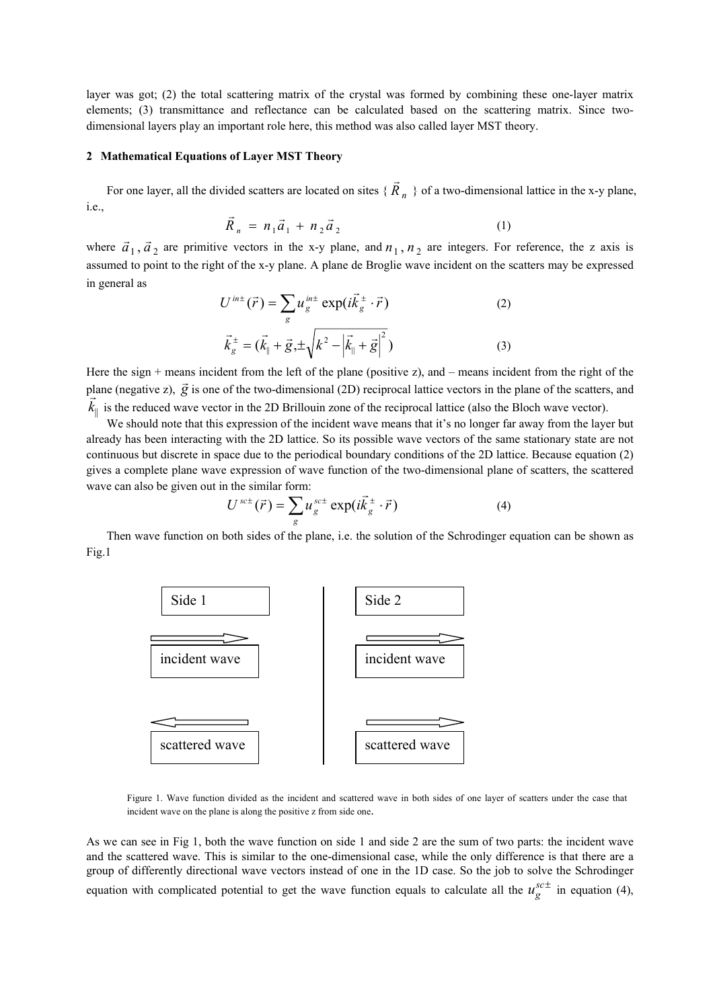layer was got; (2) the total scattering matrix of the crystal was formed by combining these one-layer matrix elements; (3) transmittance and reflectance can be calculated based on the scattering matrix. Since twodimensional layers play an important role here, this method was also called layer MST theory.

### **2 Mathematical Equations of Layer MST Theory**

For one layer, all the divided scatters are located on sites  $\{\vec{R}_n\}$  of a two-dimensional lattice in the x-y plane, i.e.,

$$
\vec{R}_n = n_1 \vec{a}_1 + n_2 \vec{a}_2 \tag{1}
$$

where  $\vec{a}_1$ ,  $\vec{a}_2$  are primitive vectors in the x-y plane, and  $n_1$ ,  $n_2$  are integers. For reference, the z axis is assumed to point to the right of the x-y plane. A plane de Broglie wave incident on the scatters may be expressed in general as

$$
U^{int}(\vec{r}) = \sum_{g} u_{g}^{int} \exp(i\vec{k}_{g}^{\pm} \cdot \vec{r})
$$
 (2)  

$$
\vec{k}_{g}^{\pm} = (\vec{k}_{\parallel} + \vec{g}, \pm \sqrt{k^{2} - |\vec{k}_{\parallel} + \vec{g}|^{2}})
$$
 (3)

Here the sign + means incident from the left of the plane (positive z), and – means incident from the right of the plane (negative z),  $\vec{g}$  is one of the two-dimensional (2D) reciprocal lattice vectors in the plane of the scatters, and  $\vec{f}$  $k_{\parallel}$  is the reduced wave vector in the 2D Brillouin zone of the reciprocal lattice (also the Bloch wave vector).

We should note that this expression of the incident wave means that it's no longer far away from the layer but already has been interacting with the 2D lattice. So its possible wave vectors of the same stationary state are not continuous but discrete in space due to the periodical boundary conditions of the 2D lattice. Because equation (2) gives a complete plane wave expression of wave function of the two-dimensional plane of scatters, the scattered wave can also be given out in the similar form:

$$
U^{sc\pm}(\vec{r}) = \sum_{g} u_g^{sc\pm} \exp(i\vec{k}_g^{\pm} \cdot \vec{r})
$$
 (4)

Then wave function on both sides of the plane, i.e. the solution of the Schrodinger equation can be shown as Fig.1



Figure 1. Wave function divided as the incident and scattered wave in both sides of one layer of scatters under the case that incident wave on the plane is along the positive z from side one.

As we can see in Fig 1, both the wave function on side 1 and side 2 are the sum of two parts: the incident wave and the scattered wave. This is similar to the one-dimensional case, while the only difference is that there are a group of differently directional wave vectors instead of one in the 1D case. So the job to solve the Schrodinger equation with complicated potential to get the wave function equals to calculate all the  $u_g^{sc \pm}$  in equation (4),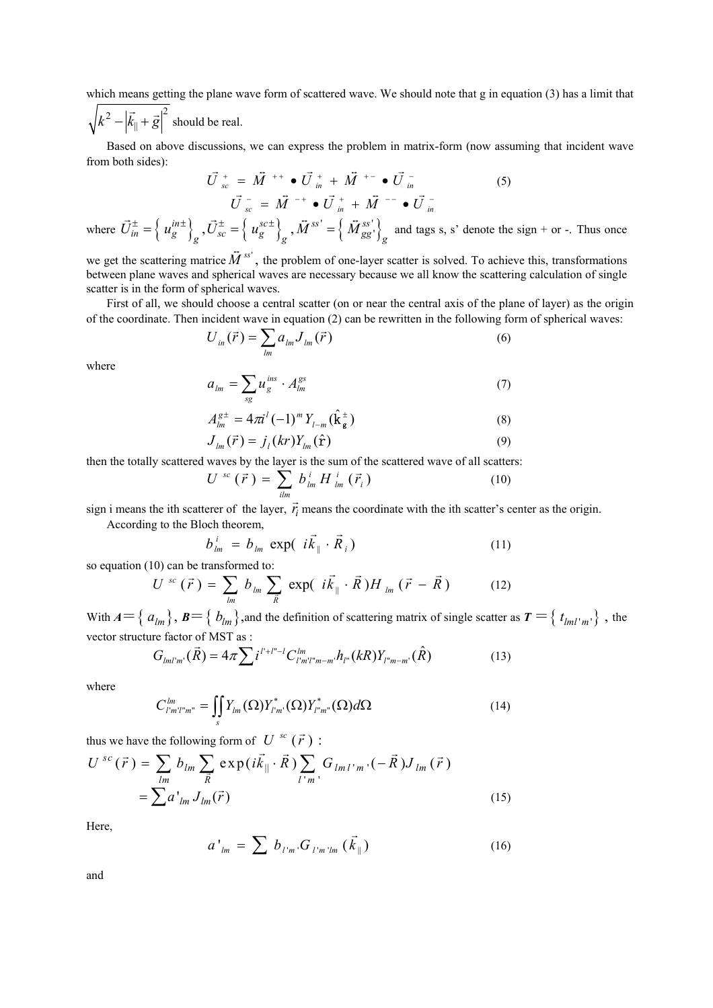which means getting the plane wave form of scattered wave. We should note that g in equation (3) has a limit that

 $\sqrt{k^2 - \left| \vec{k}_{\parallel} + \vec{g} \right|^2}$  should be real.

Based on above discussions, we can express the problem in matrix-form (now assuming that incident wave from both sides):

$$
\vec{U}_{sc}^{+} = \vec{M}^{++} \bullet \vec{U}_{in}^{+} + \vec{M}^{+-} \bullet \vec{U}_{in}^{-}
$$
\n
$$
\vec{U}_{sc}^{-} = \vec{M}^{-+} \bullet \vec{U}_{in}^{+} + \vec{M}^{--} \bullet \vec{U}_{in}^{-}
$$
\n
$$
\vec{U}_{in}^{-} = (\text{vol}) \bullet \vec{\tau}_{in} \cdot (\vec{\tau}_{in}^{-})
$$
\n(5)

where  $\vec{U}_{in}^{\pm} = \left\{ u_g^{in\pm} \right\}_g$ ,  $\vec{U}_{sc}^{\pm} = \left\{ u_g^{sc\pm} \right\}_g$ ,  $\vec{M}^{ss'} = \left\{ \vec{M}_{gg'}^{ss'} \right\}$  $\overline{M}^{ss'} = \left\{ \overline{M}_{gg'}^{ss'} \right\}$  and tags s, s' denote the sign + or -. Thus once

we get the scattering matrice  $\vec{M}^{ss'}$ , the problem of one-layer scatter is solved. To achieve this, transformations between plane waves and spherical waves are necessary because we all know the scattering calculation of single scatter is in the form of spherical waves.

First of all, we should choose a central scatter (on or near the central axis of the plane of layer) as the origin of the coordinate. Then incident wave in equation (2) can be rewritten in the following form of spherical waves:

$$
U_{in}(\vec{r}) = \sum_{lm} a_{lm} J_{lm}(\vec{r})
$$
\n(6)

where

$$
a_{lm} = \sum_{sg} u_g^{ins} \cdot A_{lm}^{gs} \tag{7}
$$

$$
A_{lm}^{g^{\pm}} = 4\pi i^l (-1)^m Y_{l-m}(\hat{\mathbf{k}}_{\mathbf{g}}^{\pm})
$$
(8)  

$$
I(\vec{\boldsymbol{\kappa}}) = i (kr) Y(\hat{\mathbf{\kappa}})
$$
(9)

$$
J_{lm}(\vec{r}) = j_l(kr)Y_{lm}(\hat{\mathbf{r}})
$$
\n(9)

then the totally scattered waves by the layer is the sum of the scattered wave of all scatters:

$$
U^{sc}(\vec{r}) = \sum_{\text{ilm}}^{\bullet} b_{\text{lm}}^i H_{\text{lm}}^i(\vec{r}_i)
$$
 (10)

sign i means the ith scatterer of the layer,  $\vec{r}$  means the coordinate with the ith scatter's center as the origin.

According to the Bloch theorem,

$$
b_{lm}^i = b_{lm} \exp( i \vec{k}_{\parallel} \cdot \vec{R}_i )
$$
 (11)

so equation (10) can be transformed to:

$$
U^{sc}(\vec{r}) = \sum_{lm} b_{lm} \sum_{\vec{R}} \exp(-i\vec{k}_{\parallel} \cdot \vec{R}) H_{lm}(\vec{r} - \vec{R}) \qquad (12)
$$

With  $A = \{ a_{lm} \}, B = \{ b_{lm} \}$ , and the definition of scattering matrix of single scatter as  $T = \{ t_{lml'm'} \}$ , the vector structure factor of MST as :

$$
G_{lml'm'}(\vec{R}) = 4\pi \sum i^{l'+l''-l} C_{l'm'l''m-m'}^{lm} h_{l''}(kR) Y_{l''m-m'}(\hat{R})
$$
\n(13)

where

$$
C_{l'm'l'm''}^{lm} = \iint\limits_{S} Y_{lm}(\Omega) Y_{l'm'}^*(\Omega) Y_{l''m''}^*(\Omega) d\Omega \tag{14}
$$

thus we have the following form of  $U^{sc}(\vec{r})$ :

$$
U^{sc}(\vec{r}) = \sum_{lm} b_{lm} \sum_{\vec{R}} \exp(i\vec{k}_{\parallel} \cdot \vec{R}) \sum_{l'm'} G_{lml'm'} (-\vec{R}) J_{lm}(\vec{r})
$$
  
= 
$$
\sum a'_{lm} J_{lm}(\vec{r})
$$
 (15)

Here,

$$
a'_{lm} = \sum b_{l'm'} G_{l'm'lm} (\vec{k}_{\parallel})
$$
 (16)

and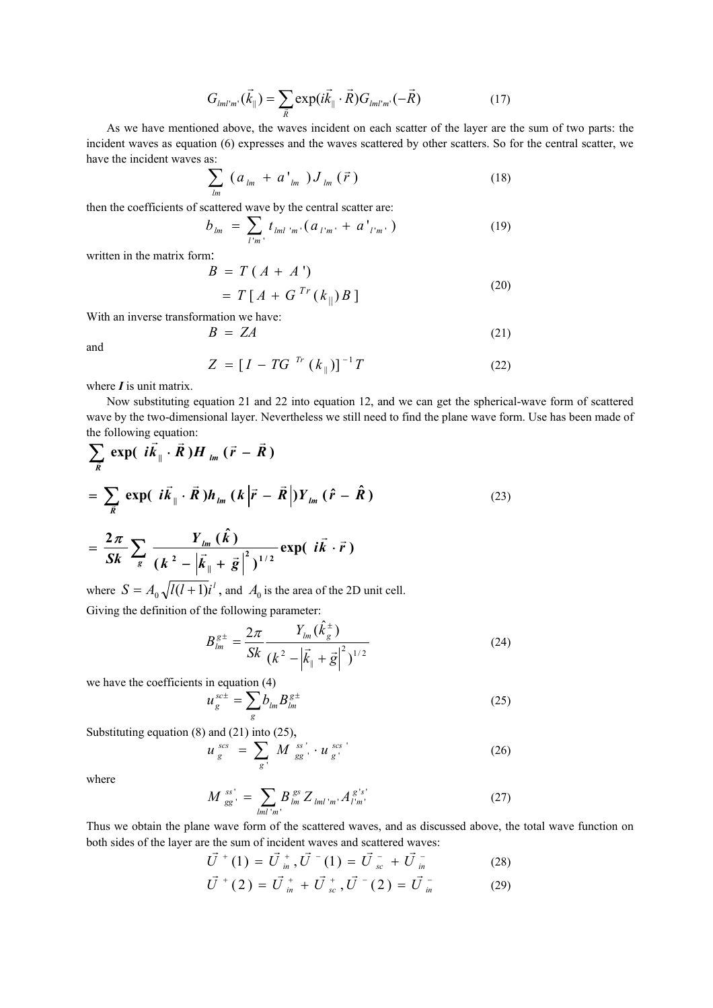$$
G_{lml'm'}(\vec{k}_{\parallel}) = \sum_{\vec{R}} \exp(i\vec{k}_{\parallel} \cdot \vec{R}) G_{lml'm'}(-\vec{R}) \qquad (17)
$$

As we have mentioned above, the waves incident on each scatter of the layer are the sum of two parts: the incident waves as equation (6) expresses and the waves scattered by other scatters. So for the central scatter, we have the incident waves as:

$$
\sum_{lm} (a_{lm} + a'_{lm}) J_{lm}(\vec{r}) \tag{18}
$$

then the coefficients of scattered wave by the central scatter are:

$$
b_{lm} = \sum_{l'm'} t_{lml'm'} (a_{l'm'} + a'_{l'm'}) \tag{19}
$$

written in the matrix form:

$$
B = T(A + A')= T[A + GTr(k_{\parallel})B]
$$
\n(20)

With an inverse transformation we have:

$$
B = ZA \tag{21}
$$

and

$$
Z = [I - T G^{Tr} (k_{\parallel})]^{-1} T
$$
 (22)

where *I* is unit matrix.

Now substituting equation 21 and 22 into equation 12, and we can get the spherical-wave form of scattered wave by the two-dimensional layer. Nevertheless we still need to find the plane wave form. Use has been made of the following equation:

$$
\sum_{\vec{k}} \exp\left(i\vec{k}_{\parallel} \cdot \vec{R}\right) H_{lm} \left(\vec{r} - \vec{R}\right)
$$
\n
$$
= \sum_{\vec{k}} \exp\left(i\vec{k}_{\parallel} \cdot \vec{R}\right) h_{lm} \left(k\left|\vec{r} - \vec{R}\right|\right) Y_{lm} \left(\hat{r} - \hat{R}\right)
$$
\n
$$
= \frac{2\pi}{Sk} \sum_{g} \frac{Y_{lm} \left(\hat{k}\right)}{\left(k^{2} - \left|\vec{k}_{\parallel} + \vec{g}\right|\right)^{1/2}} \exp\left(i\vec{k} \cdot \vec{r}\right)
$$
\n(23)

where  $S = A_0 \sqrt{l(l+1)}i^l$ , and  $A_0$  is the area of the 2D unit cell. Giving the definition of the following parameter:

$$
B_{lm}^{g\pm} = \frac{2\pi}{Sk} \frac{Y_{lm}(\hat{k}_{g}^{\pm})}{(k^2 - |\vec{k}_{||} + \vec{g}|^2)^{1/2}}
$$
(24)

we have the coefficients in equation (4)

$$
u_g^{sc\pm} = \sum_g b_{lm} B_{lm}^{g\pm} \tag{25}
$$

Substituting equation (8) and (21) into (25),

$$
u_g^{scs} = \sum_{g'} M_{gg'}^{ss'} \cdot u_g^{scs'}
$$
 (26)

where

$$
M_{gg'}^{ss'} = \sum_{lml'm'} B_{lm}^{gs} Z_{lml'm'} A_{l'm'}^{g's'} \tag{27}
$$

Thus we obtain the plane wave form of the scattered waves, and as discussed above, the total wave function on both sides of the layer are the sum of incident waves and scattered waves:<br> $\vec{U}^+(1) = \vec{U}^+, \vec{U}^-(1) = \vec{U}^- + \vec{U}^-$ 

$$
\vec{U}^{+}(1) = \vec{U}^{+}_{in}, \vec{U}^{-}(1) = \vec{U}^{-}_{sc} + \vec{U}^{-}_{in}
$$
\n
$$
\vec{U}^{+}(2) = \vec{U}^{+}_{in} + \vec{U}^{+}_{sc}, \vec{U}^{-}(2) = \vec{U}^{-}_{in}
$$
\n(29)

$$
\vec{U}^+(2) = \vec{U}^+_{in} + \vec{U}^+_{sc}, \vec{U}^-(2) = \vec{U}^-_{in}
$$
 (29)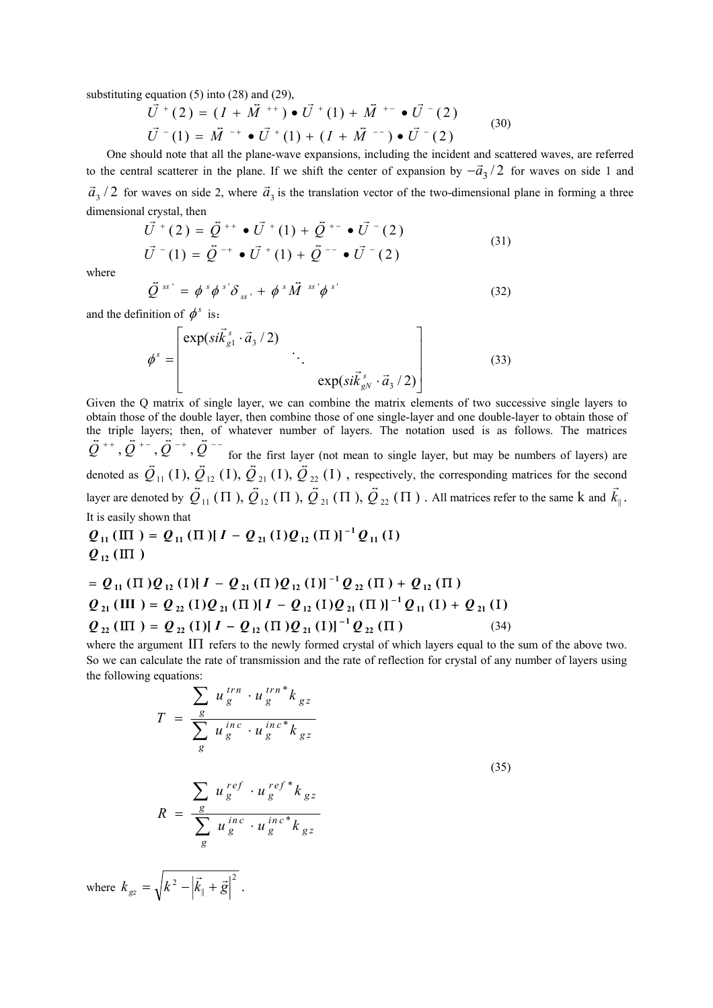substituting equation  $(5)$  into  $(28)$  and  $(29)$ ,

$$
\vec{U}^+(2) = (I + \vec{M}^{++}) \bullet \vec{U}^+(1) + \vec{M}^{+-} \bullet \vec{U}^-(2)
$$
  

$$
\vec{U}^-(1) = \vec{M}^{-+} \bullet \vec{U}^+(1) + (I + \vec{M}^{--}) \bullet \vec{U}^-(2)
$$
 (30)

One should note that all the plane-wave expansions, including the incident and scattered waves, are referred to the central scatterer in the plane. If we shift the center of expansion by  $-\vec{a}_3 / 2$  for waves on side 1 and  $\vec{a}_3$  / 2 for waves on side 2, where  $\vec{a}_3$  is the translation vector of the two-dimensional plane in forming a three dimensional crystal, then

$$
\vec{U}^+(2) = \vec{Q}^{++} \cdot \vec{U}^+(1) + \vec{Q}^{+-} \cdot \vec{U}^-(2)
$$
\n
$$
\vec{U}^-(1) = \vec{Q}^{-+} \cdot \vec{U}^+(1) + \vec{Q}^{--} \cdot \vec{U}^-(2)
$$
\n(31)

where  

$$
\vec{Q}^{ss'} = \phi^s \phi^{s'} \delta_{ss'} + \phi^s \vec{M}^{ss'} \phi^{s'}
$$
(32)

and the definition of  $\phi^s$  is:

$$
\phi^s = \begin{bmatrix} \exp(s i \vec{k}_{g1}^s \cdot \vec{a}_3 / 2) \\ \cdot \\ \cdot \\ \exp(s i \vec{k}_{gN}^s \cdot \vec{a}_3 / 2) \end{bmatrix}
$$
(33)

Given the Q matrix of single layer, we can combine the matrix elements of two successive single layers to obtain those of the double layer, then combine those of one single-layer and one double-layer to obtain those of the triple layers; then, of whatever number of layers. The notation used is as follows. The matrices  $\vec{Q}^{++}$ ,  $\vec{Q}^{+-}$ ,  $\vec{Q}^{-+}$ ,  $\vec{Q}^{--}$  for the first layer (not mean to single layer, but may be numbers of layers) are denoted as  $\vec{Q}_{11}$  (I),  $\vec{Q}_{12}$  (I),  $\vec{Q}_{21}$  (I),  $\vec{Q}_{22}$  (I), respectively, the corresponding matrices for the second layer are denoted by  $\overline{\mathcal{Q}}_{11}(\Pi), \overline{\mathcal{Q}}_{12}(\Pi), \overline{\mathcal{Q}}_{21}(\Pi), \overline{\mathcal{Q}}_{22}(\Pi)$ . All matrices refer to the same k and  $\overrightarrow{k}_{\parallel}$  $\ddot{a}$  to  $\ddot{a}$ .

It is easily shown that

$$
Q_{11}(\Pi) = Q_{11}(\Pi) [I - Q_{21}(\Pi)Q_{12}(\Pi)]^{-1} Q_{11}(\Pi)
$$
  

$$
Q_{12}(\Pi)
$$

$$
= Q_{11} (\Pi) Q_{12} (\Pi) [I - Q_{21} (\Pi) Q_{12} (\Pi)]^{-1} Q_{22} (\Pi) + Q_{12} (\Pi)
$$
  
\n
$$
Q_{21} (\Pi) = Q_{22} (\Pi) Q_{21} (\Pi) [I - Q_{12} (\Pi) Q_{21} (\Pi)]^{-1} Q_{11} (\Pi) + Q_{21} (\Pi)
$$
  
\n
$$
Q_{22} (\Pi) = Q_{22} (\Pi) [I - Q_{12} (\Pi) Q_{21} (\Pi)]^{-1} Q_{22} (\Pi)
$$
 (34)

where the argument ΙΠ refers to the newly formed crystal of which layers equal to the sum of the above two. So we can calculate the rate of transmission and the rate of reflection for crystal of any number of layers using the following equations:

$$
T = \frac{\sum_{g} u_{g}^{trn} \cdot u_{g}^{trn*} k_{gz}}{\sum_{g} u_{g}^{inc} \cdot u_{g}^{inc*} k_{gz}}
$$
  

$$
R = \frac{\sum_{g} u_{g}^{ref} \cdot u_{g}^{ref*} k_{gz}}{\sum_{g} u_{g}^{inc} \cdot u_{g}^{inc*} k_{gz}}
$$
  
(35)

where  $k_{\sigma z} = \sqrt{k^2 - |\vec{k}_0 + \vec{g}|^2}$  $k_{gz} = \sqrt{k^2 - |\vec{k}_{\parallel} + \vec{g}|^2}$ .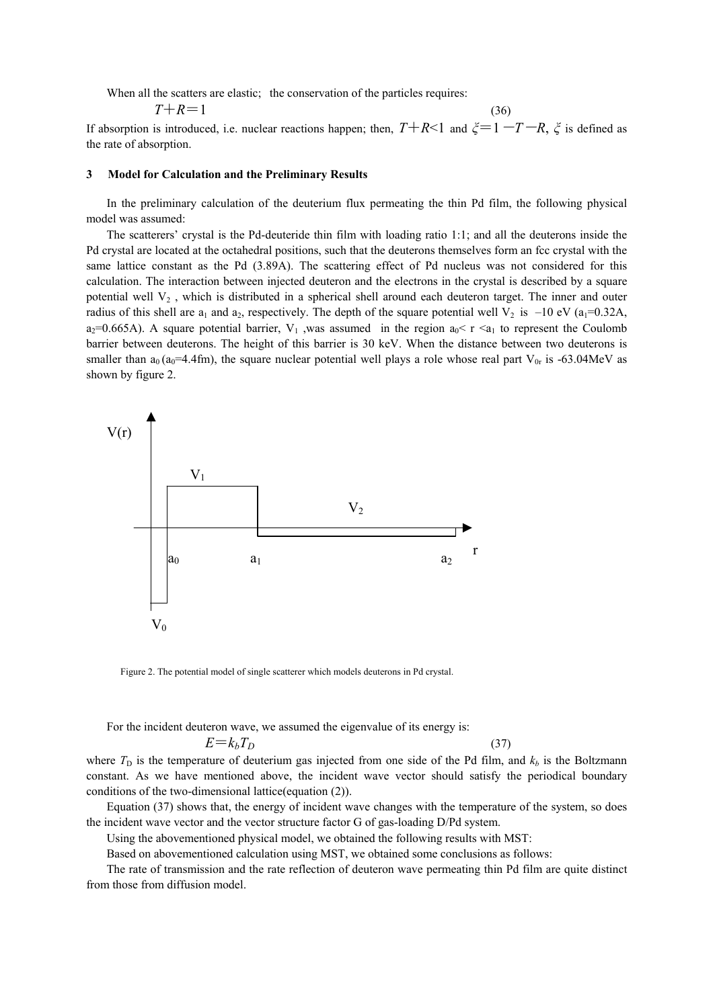When all the scatters are elastic; the conservation of the particles requires:

$$
T + R = 1 \tag{36}
$$

If absorption is introduced, i.e. nuclear reactions happen; then,  $T + R \le 1$  and  $\zeta = 1 - T - R$ ,  $\zeta$  is defined as the rate of absorption.

#### **3 Model for Calculation and the Preliminary Results**

In the preliminary calculation of the deuterium flux permeating the thin Pd film, the following physical model was assumed:

The scatterers' crystal is the Pd-deuteride thin film with loading ratio 1:1; and all the deuterons inside the Pd crystal are located at the octahedral positions, such that the deuterons themselves form an fcc crystal with the same lattice constant as the Pd (3.89A). The scattering effect of Pd nucleus was not considered for this calculation. The interaction between injected deuteron and the electrons in the crystal is described by a square potential well  $V_2$ , which is distributed in a spherical shell around each deuteron target. The inner and outer radius of this shell are  $a_1$  and  $a_2$ , respectively. The depth of the square potential well  $V_2$  is  $-10$  eV ( $a_1=0.32A$ ,  $a_2=0.665$ A). A square potential barrier, V<sub>1</sub>, was assumed in the region  $a_0 < r < a_1$  to represent the Coulomb barrier between deuterons. The height of this barrier is 30 keV. When the distance between two deuterons is smaller than  $a_0$  ( $a_0$ =4.4fm), the square nuclear potential well plays a role whose real part  $V_{0r}$  is -63.04MeV as shown by figure 2.



Figure 2. The potential model of single scatterer which models deuterons in Pd crystal.

For the incident deuteron wave, we assumed the eigenvalue of its energy is:

$$
E = k_b T_D \tag{37}
$$

where  $T_D$  is the temperature of deuterium gas injected from one side of the Pd film, and  $k_b$  is the Boltzmann constant. As we have mentioned above, the incident wave vector should satisfy the periodical boundary conditions of the two-dimensional lattice(equation (2)).

Equation (37) shows that, the energy of incident wave changes with the temperature of the system, so does the incident wave vector and the vector structure factor G of gas-loading D/Pd system.

Using the abovementioned physical model, we obtained the following results with MST:

Based on abovementioned calculation using MST, we obtained some conclusions as follows:

The rate of transmission and the rate reflection of deuteron wave permeating thin Pd film are quite distinct from those from diffusion model.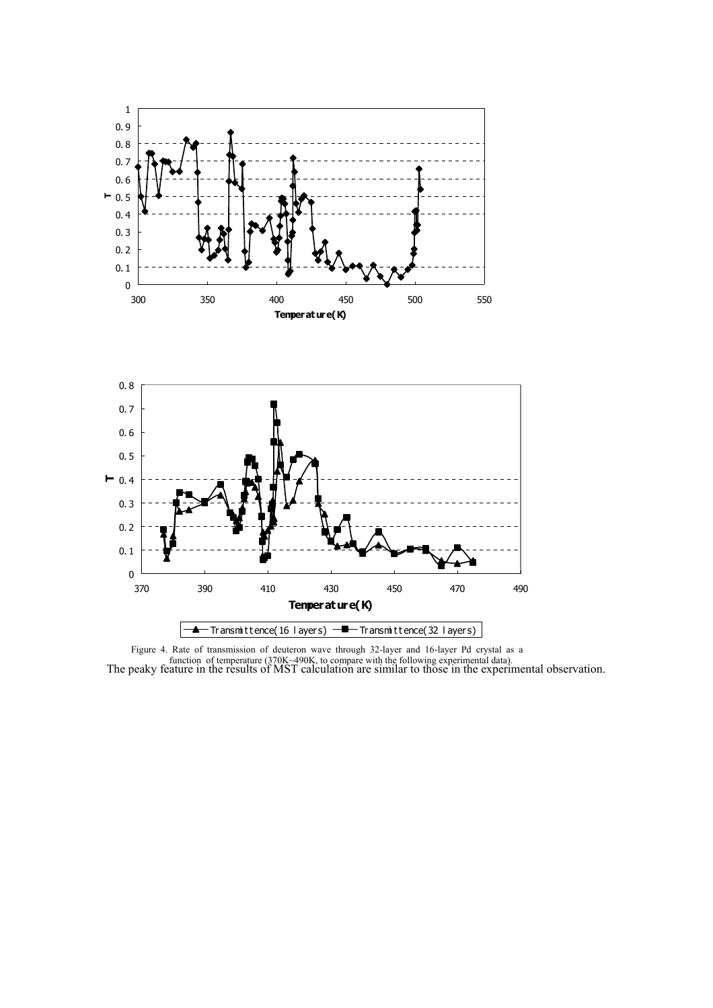



The peaky feature in the results of MST calculation are similar to those in the experimental observation. Figure 4. Rate of transmission of deuteron wave through 32-layer and 16-layer Pd crystal as a function of temperature (370K~490K, to compare with the following experimental data).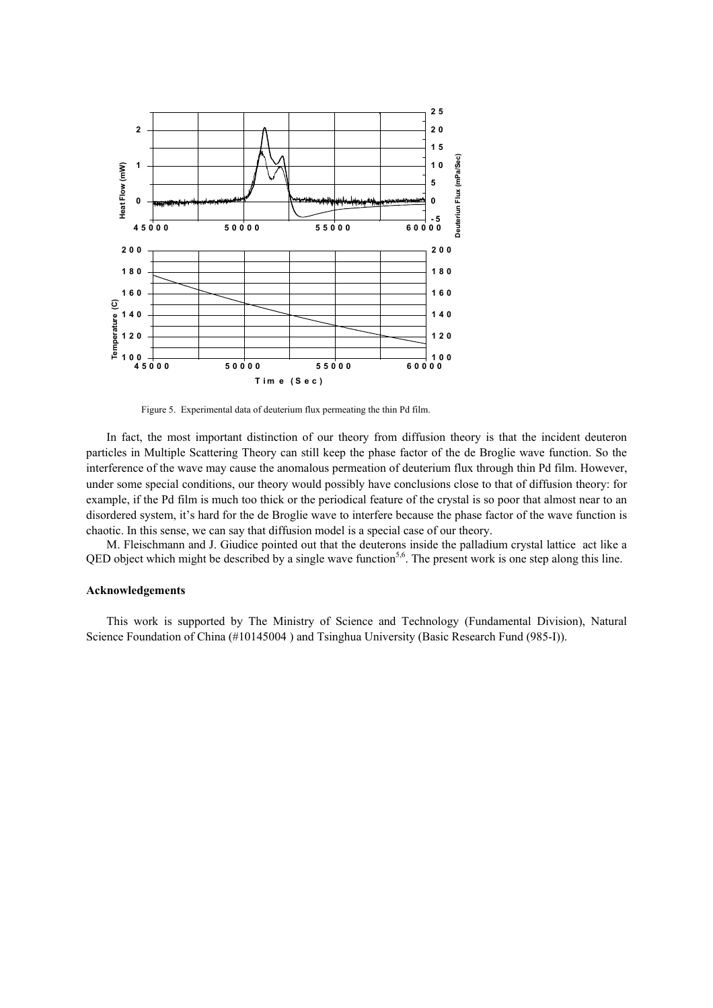

Figure 5. Experimental data of deuterium flux permeating the thin Pd film.

In fact, the most important distinction of our theory from diffusion theory is that the incident deuteron particles in Multiple Scattering Theory can still keep the phase factor of the de Broglie wave function. So the interference of the wave may cause the anomalous permeation of deuterium flux through thin Pd film. However, under some special conditions, our theory would possibly have conclusions close to that of diffusion theory: for example, if the Pd film is much too thick or the periodical feature of the crystal is so poor that almost near to an disordered system, it's hard for the de Broglie wave to interfere because the phase factor of the wave function is chaotic. In this sense, we can say that diffusion model is a special case of our theory.

M. Fleischmann and J. Giudice pointed out that the deuterons inside the palladium crystal lattice act like a QED object which might be described by a single wave function<sup>5,6</sup>. The present work is one step along this line.

#### **Acknowledgements**

This work is supported by The Ministry of Science and Technology (Fundamental Division), Natural Science Foundation of China (#10145004 ) and Tsinghua University (Basic Research Fund (985-I)).